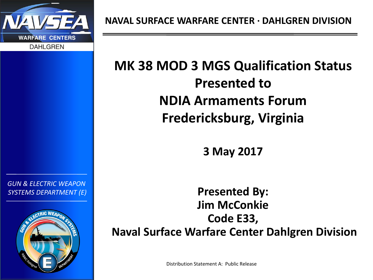

*GUN & ELECTRIC WEAPON SYSTEMS DEPARTMENT (E)*

# **MK 38 MOD 3 MGS Qualification Status Presented to NDIA Armaments Forum Fredericksburg, Virginia**

**3 May 2017**

**Presented By: Jim McConkie Code E33, Naval Surface Warfare Center Dahlgren Division**

Distribution Statement A: Public Release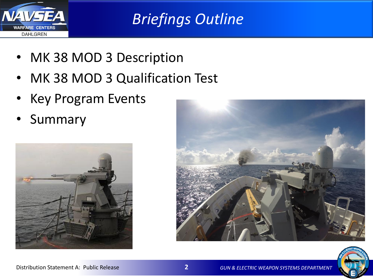

*Briefings Outline*

- MK 38 MOD 3 Description
- MK 38 MOD 3 Qualification Test
- Key Program Events
- Summary





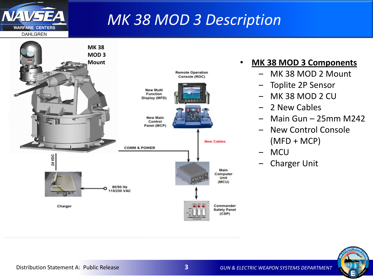## *MK 38 MOD 3 Description*



#### • **MK 38 MOD 3 Components**

- ‒ MK 38 MOD 2 Mount
- ‒ Toplite 2P Sensor
- ‒ MK 38 MOD 2 CU
- ‒ 2 New Cables
- ‒ Main Gun 25mm M242
- ‒ New Control Console (MFD + MCP)
- ‒ MCU
- ‒ Charger Unit



NA<sub></sub>

**WARFARE CENTERS DAHLGREN**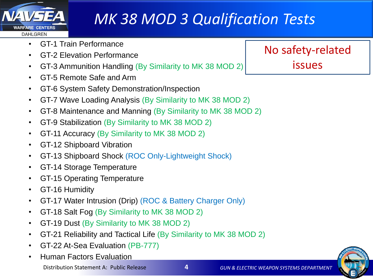

# *MK 38 MOD 3 Qualification Tests*

- GT-1 Train Performance
- GT-2 Elevation Performance
- GT-3 Ammunition Handling (By Similarity to MK 38 MOD 2)
- GT-5 Remote Safe and Arm
- GT-6 System Safety Demonstration/Inspection
- GT-7 Wave Loading Analysis (By Similarity to MK 38 MOD 2)
- GT-8 Maintenance and Manning (By Similarity to MK 38 MOD 2)
- GT-9 Stabilization (By Similarity to MK 38 MOD 2)
- GT-11 Accuracy (By Similarity to MK 38 MOD 2)
- GT-12 Shipboard Vibration
- GT-13 Shipboard Shock (ROC Only-Lightweight Shock)
- GT-14 Storage Temperature
- GT-15 Operating Temperature
- GT-16 Humidity
- GT-17 Water Intrusion (Drip) (ROC & Battery Charger Only)
- GT-18 Salt Fog (By Similarity to MK 38 MOD 2)
- GT-19 Dust (By Similarity to MK 38 MOD 2)
- GT-21 Reliability and Tactical Life (By Similarity to MK 38 MOD 2)
- GT-22 At-Sea Evaluation (PB-777)
- Human Factors Evaluation

No safety-related issues

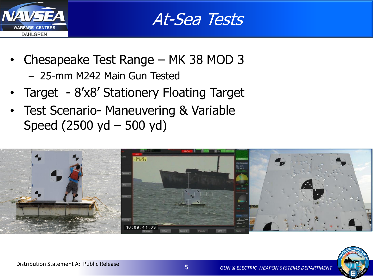

At-Sea Tests

- Chesapeake Test Range MK 38 MOD 3 – 25-mm M242 Main Gun Tested
- Target 8'x8' Stationery Floating Target
- Test Scenario- Maneuvering & Variable Speed (2500 yd – 500 yd)



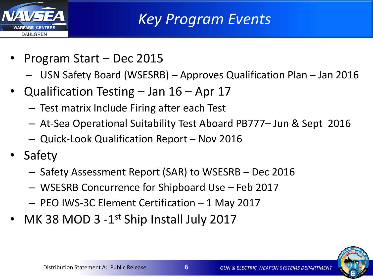

*Key Program Events*

- Program Start Dec 2015
	- ‒ USN Safety Board (WSESRB) Approves Qualification Plan Jan 2016
- Qualification Testing  $-$  Jan 16  $-$  Apr 17
	- Test matrix Include Firing after each Test
	- At-Sea Operational Suitability Test Aboard PB777– Jun & Sept 2016
	- Quick-Look Qualification Report Nov 2016
- Safety
	- Safety Assessment Report (SAR) to WSESRB Dec 2016
	- WSESRB Concurrence for Shipboard Use Feb 2017
	- PEO IWS-3C Element Certification 1 May 2017
- MK 38 MOD 3 -1<sup>st</sup> Ship Install July 2017